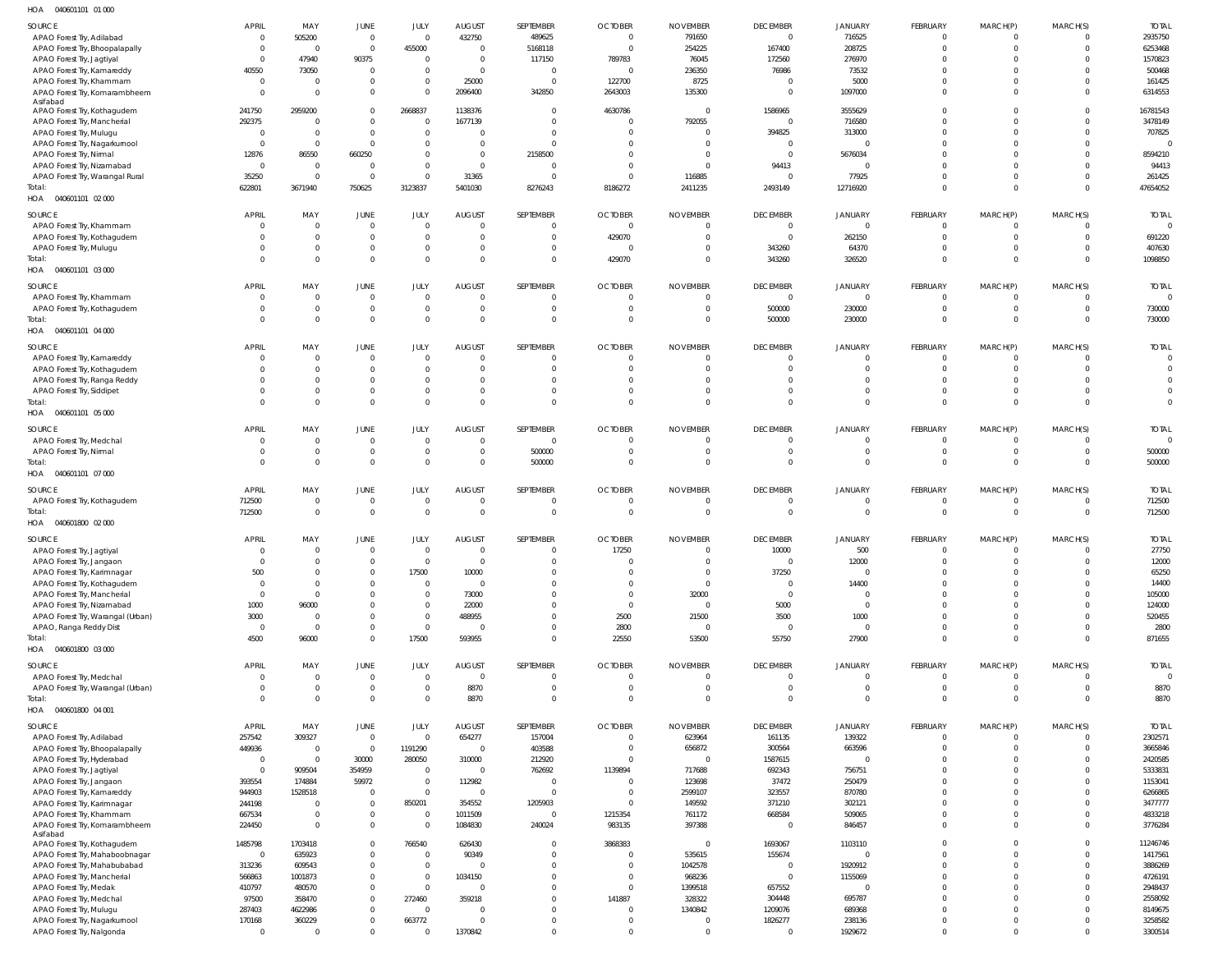040601101 01 000 HOA

| SOURCE                            | <b>APRIL</b>   | MAY            | <b>JUNE</b>    | JULY     | <b>AUGUST</b>  | SEPTEMBER      | <b>OCTOBER</b> | <b>NOVEMBER</b> | <b>DECEMBER</b> | <b>JANUARY</b> | FEBRUARY       | MARCH(P)       | MARCH(S) | <b>TOTAL</b>   |
|-----------------------------------|----------------|----------------|----------------|----------|----------------|----------------|----------------|-----------------|-----------------|----------------|----------------|----------------|----------|----------------|
| APAO Forest Try, Adilabad         | 0              | 505200         | $\mathbf 0$    | $\Omega$ | 432750         | 489625         | $\overline{0}$ | 791650          | $\Omega$        | 716525         | $\Omega$       | 0              |          | 2935750        |
|                                   |                |                |                |          |                |                |                |                 |                 |                | $\Omega$       |                |          |                |
| APAO Forest Try, Bhoopalapally    | $\overline{0}$ | 0              | $\mathbf{0}$   | 455000   | $\Omega$       | 5168118        | $\overline{0}$ | 254225          | 167400          | 208725         |                | $\Omega$       |          | 6253468        |
| APAO Forest Try, Jagtiyal         | $\Omega$       | 47940          | 90375          | $\Omega$ | $\Omega$       | 117150         | 789783         | 76045           | 172560          | 276970         | $\Omega$       |                |          | 1570823        |
| APAO Forest Try, Kamareddy        | 40550          | 73050          | $\overline{0}$ | $\Omega$ | $\overline{0}$ | 0              | $\overline{0}$ | 236350          | 76986           | 73532          | $\Omega$       |                |          | 500468         |
| APAO Forest Try, Khammam          | $\overline{0}$ | $\Omega$       | $\mathbf{0}$   | $\Omega$ | 25000          | $\Omega$       | 122700         | 8725            | $\Omega$        | 5000           | $\Omega$       |                |          | 161425         |
| APAO Forest Try, Komarambheem     | $\Omega$       | $\Omega$       | $\overline{0}$ | $\Omega$ | 2096400        | 342850         | 2643003        | 135300          | $\Omega$        | 1097000        | $\Omega$       | <sup>0</sup>   | $\Omega$ | 6314553        |
| Asifabad                          |                |                |                |          |                |                |                |                 |                 |                |                |                |          |                |
| APAO Forest Try, Kothagudem       | 241750         | 2959200        | $\overline{0}$ | 2668837  | 1138376        | $\Omega$       | 4630786        | $\overline{0}$  | 1586965         | 3555629        | $\Omega$       |                |          | 16781543       |
| APAO Forest Try, Mancherial       | 292375         | $\Omega$       | $\Omega$       | $\Omega$ | 1677139        | $\Omega$       | $\overline{0}$ | 792055          | $\Omega$        | 716580         | $\Omega$       |                |          | 3478149        |
|                                   |                |                |                |          |                |                |                |                 |                 |                | $\Omega$       |                |          | 707825         |
| APAO Forest Try, Mulugu           | $\Omega$       | $\Omega$       | $\mathbf{0}$   | $\Omega$ | $\Omega$       | $\Omega$       | $\Omega$       | $\Omega$        | 394825          | 313000         |                |                |          |                |
| APAO Forest Try, Nagarkurnool     | $\Omega$       | $\mathbf 0$    | $\mathbf{0}$   | $\Omega$ | $\Omega$       | $\Omega$       | $\Omega$       | - 0             | $\Omega$        | $\Omega$       | $\Omega$       |                |          | $\Omega$       |
| APAO Forest Try, Nirmal           | 12876          | 86550          | 660250         | $\Omega$ | $\Omega$       | 2158500        | $\Omega$       | $\Omega$        | $\Omega$        | 5676034        | $\Omega$       |                |          | 8594210        |
| APAO Forest Try, Nizamabad        | 0              | $\mathbf 0$    | $\overline{0}$ | $\Omega$ | $\Omega$       | 0              | $\Omega$       | $\Omega$        | 94413           | $\Omega$       | $\Omega$       |                |          | 94413          |
| APAO Forest Try, Warangal Rural   | 35250          | $\Omega$       | $\Omega$       | $\Omega$ | 31365          | $\Omega$       | $\Omega$       | 116885          | $\Omega$        | 77925          | $\Omega$       | $\Omega$       |          | 261425         |
| Total:                            | 622801         | 3671940        | 750625         | 3123837  | 5401030        | 8276243        |                | 2411235         | 2493149         | 12716920       | $\Omega$       | $\Omega$       | $\Omega$ | 47654052       |
|                                   |                |                |                |          |                |                | 8186272        |                 |                 |                |                |                |          |                |
| HOA  040601101  02  000           |                |                |                |          |                |                |                |                 |                 |                |                |                |          |                |
| SOURCE                            | <b>APRIL</b>   | MAY            | JUNE           | JULY     | <b>AUGUST</b>  | SEPTEMBER      | <b>OCTOBER</b> | <b>NOVEMBER</b> | <b>DECEMBER</b> | <b>JANUARY</b> | FEBRUARY       | MARCH(P)       | MARCH(S) | <b>TOTAL</b>   |
|                                   |                | $\mathbf 0$    |                | $\Omega$ | $\overline{0}$ | $\overline{0}$ |                |                 | $\mathbf{0}$    | $\overline{0}$ | $\mathbf 0$    | $\Omega$       |          | $\overline{0}$ |
| APAO Forest Try, Khammam          | 0              |                | $\mathbf 0$    |          |                |                | $\mathbf 0$    | $\overline{0}$  |                 |                |                |                |          |                |
| APAO Forest Try, Kothagudem       | $\Omega$       | $\mathbf 0$    | $\mathbf 0$    | $\Omega$ | $\overline{0}$ | $\overline{0}$ | 429070         | $\overline{0}$  | $\mathbf 0$     | 262150         | $\mathbf 0$    | $\overline{0}$ | $\Omega$ | 691220         |
| APAO Forest Try, Mulugu           | $\Omega$       | $\Omega$       | $\mathbf 0$    | $\Omega$ | $\mathbf{0}$   | $\overline{0}$ | $\overline{0}$ | $\overline{0}$  | 343260          | 64370          | $\mathbf 0$    | $\Omega$       | $\Omega$ | 407630         |
| Total:                            | $\Omega$       | $\Omega$       | $\mathbf 0$    | $\Omega$ | $\overline{0}$ | $\overline{0}$ | 429070         | $\overline{0}$  | 343260          | 326520         | $\Omega$       | $\Omega$       | $\Omega$ | 1098850        |
| HOA  040601101  03  000           |                |                |                |          |                |                |                |                 |                 |                |                |                |          |                |
|                                   |                |                |                |          |                |                |                |                 |                 |                |                |                |          |                |
| SOURCE                            | <b>APRIL</b>   | MAY            | JUNE           | JULY     | <b>AUGUST</b>  | SEPTEMBER      | <b>OCTOBER</b> | <b>NOVEMBER</b> | <b>DECEMBER</b> | <b>JANUARY</b> | FEBRUARY       | MARCH(P)       | MARCH(S) | <b>TOTAL</b>   |
| APAO Forest Try, Khammam          | $\Omega$       | $\Omega$       | $\overline{0}$ | $\Omega$ | $\overline{0}$ | $\overline{0}$ | $\overline{0}$ | $\overline{0}$  | $\mathbf{0}$    | $\Omega$       | $\Omega$       | $\Omega$       | $\Omega$ | $\Omega$       |
| APAO Forest Try, Kothagudem       | $\Omega$       | $\mathbf 0$    | $\mathbf 0$    | $\Omega$ | $\overline{0}$ | 0              | $\Omega$       | $\overline{0}$  | 500000          | 230000         | $\mathbf 0$    | $\mathbf{0}$   |          | 730000         |
|                                   |                |                |                |          | $\Omega$       |                |                |                 |                 |                |                |                |          |                |
| Total:                            | $\Omega$       | $\Omega$       | $\mathbf{0}$   | $\Omega$ |                | $\Omega$       | $\Omega$       | $\overline{0}$  | 500000          | 230000         | $\Omega$       | $\Omega$       | $\Omega$ | 730000         |
| HOA  040601101  04  000           |                |                |                |          |                |                |                |                 |                 |                |                |                |          |                |
|                                   |                |                |                |          |                |                |                |                 |                 |                |                |                |          | <b>TOTAL</b>   |
| SOURCE                            | <b>APRIL</b>   | MAY            | JUNE           | JULY     | <b>AUGUST</b>  | SEPTEMBER      | <b>OCTOBER</b> | <b>NOVEMBER</b> | <b>DECEMBER</b> | <b>JANUARY</b> | FEBRUARY       | MARCH(P)       | MARCH(S) |                |
| APAO Forest Try, Kamareddy        | - 0            | $\mathbf 0$    | $\mathbf 0$    | $\Omega$ | $\overline{0}$ | 0              | $\overline{0}$ | $\overline{0}$  | $\Omega$        | $\Omega$       | $\mathbf 0$    | 0              |          | $\Omega$       |
| APAO Forest Try, Kothagudem       | $\Omega$       | $\mathbf 0$    | $\overline{0}$ | $\Omega$ | $\mathbf{0}$   | 0              | $\Omega$       | $\overline{0}$  | $\Omega$        | $\Omega$       | $\mathbf 0$    | $\Omega$       | $\Omega$ | $\Omega$       |
| APAO Forest Try, Ranga Reddy      | $\Omega$       | $\Omega$       | $\overline{0}$ | $\Omega$ | $\mathbf{0}$   | $\Omega$       | $\Omega$       | $\mathsf{C}$    | $\Omega$        | $\Omega$       | $\Omega$       |                | $\cup$   |                |
| APAO Forest Try, Siddipet         | $\Omega$       | $\Omega$       | $\mathbf 0$    | $\Omega$ | $\mathbf{0}$   | $\Omega$       | $\Omega$       | $\mathsf{C}$    | $\Omega$        | $\Omega$       | $\Omega$       | $\Omega$       | $\Omega$ | $\mathbf 0$    |
|                                   | $\Omega$       | $\Omega$       |                | $\Omega$ | $\Omega$       | $\Omega$       | $\Omega$       | $\Omega$        | $\Omega$        | $\Omega$       | $\Omega$       | $\Omega$       | $\Omega$ | $\Omega$       |
| Total:                            |                |                | $\mathbf{0}$   |          |                |                |                |                 |                 |                |                |                |          |                |
| HOA  040601101  05  000           |                |                |                |          |                |                |                |                 |                 |                |                |                |          |                |
| SOURCE                            | <b>APRIL</b>   | MAY            | <b>JUNE</b>    | JULY     | <b>AUGUST</b>  | SEPTEMBER      | <b>OCTOBER</b> | <b>NOVEMBER</b> | <b>DECEMBER</b> | <b>JANUARY</b> | FEBRUARY       | MARCH(P)       | MARCH(S) | <b>TOTAL</b>   |
|                                   |                |                |                |          |                |                |                |                 |                 |                |                |                |          |                |
| APAO Forest Try, Medchal          | $\Omega$       | $\mathbf 0$    | $\mathbf 0$    | $\Omega$ | $\overline{0}$ | 0              | $\Omega$       | $\overline{0}$  |                 |                | $\Omega$       | $\Omega$       |          | $\overline{0}$ |
| APAO Forest Try, Nirmal           | $\Omega$       | $\Omega$       | $\mathbf{0}$   | $\Omega$ | $\overline{0}$ | 500000         | $\Omega$       | $\Omega$        | $\Omega$        | $\Omega$       | $\Omega$       | $\Omega$       | $\Omega$ | 500000         |
| Total:                            | $\Omega$       | $\Omega$       | $\mathbf{0}$   | $\Omega$ | $\Omega$       | 500000         | $\Omega$       | $\Omega$        | $\Omega$        | $\Omega$       | $\Omega$       | $\Omega$       |          | 500000         |
| HOA  040601101  07  000           |                |                |                |          |                |                |                |                 |                 |                |                |                |          |                |
|                                   |                |                |                |          |                |                |                |                 |                 |                |                |                |          |                |
| SOURCE                            | <b>APRIL</b>   | MAY            | JUNE           | JULY     | <b>AUGUST</b>  | SEPTEMBER      | <b>OCTOBER</b> | <b>NOVEMBER</b> | <b>DECEMBER</b> | <b>JANUARY</b> | FEBRUARY       | MARCH(P)       | MARCH(S) | <b>TOTAL</b>   |
| APAO Forest Try, Kothagudem       | 712500         | $\mathbf 0$    | $\mathbf 0$    | $\Omega$ | $\overline{0}$ | 0              | $\overline{0}$ | $\overline{0}$  | $\Omega$        | $\overline{0}$ | $\overline{0}$ | $^{\circ}$     | $\Omega$ | 712500         |
| Total:                            | 712500         | $\mathbf 0$    | $\mathbf 0$    | $\Omega$ | $\overline{0}$ | $\overline{0}$ | $\overline{0}$ | $\overline{0}$  | $\mathbf{0}$    | $\mathbf{0}$   | $\mathbf 0$    | $\overline{0}$ | $\Omega$ | 712500         |
|                                   |                |                |                |          |                |                |                |                 |                 |                |                |                |          |                |
| HOA  040601800  02  000           |                |                |                |          |                |                |                |                 |                 |                |                |                |          |                |
| SOURCE                            | <b>APRIL</b>   | MAY            | JUNE           | JULY     | <b>AUGUST</b>  | SEPTEMBER      | <b>OCTOBER</b> | <b>NOVEMBER</b> | <b>DECEMBER</b> | <b>JANUARY</b> | FEBRUARY       | MARCH(P)       | MARCH(S) | <b>TOTAL</b>   |
|                                   |                |                |                |          |                |                |                |                 |                 |                |                |                |          |                |
| APAO Forest Try, Jagtiyal         | $\overline{0}$ | $\overline{0}$ | $\overline{0}$ | $\Omega$ | $\overline{0}$ | $\Omega$       | 17250          | $\Omega$        | 10000           | 500            | $\Omega$       | $\mathbf 0$    | $\Omega$ | 27750          |
| APAO Forest Try, Jangaon          |                | $\sim$         | $\Omega$       | $\sim$   | $\mathbf{0}$   |                | $\sqrt{ }$     |                 | $\Omega$        | 12000          | $\sim$         | $\sim$         |          | 12000          |
| APAO Forest Try, Karimnagar       | 500            | $\Omega$       | $\mathbf{0}$   | 17500    | 10000          | $\Omega$       | $\Omega$       | $\overline{0}$  | 37250           |                | $\Omega$       |                |          | 65250          |
| APAO Forest Try, Kothagudem       | $\mathbf 0$    | $\Omega$       | $\mathbf{0}$   | $\Omega$ | $\overline{0}$ | $\Omega$       | $\Omega$       | $\overline{0}$  | $\Omega$        | 14400          | $\Omega$       | $\Omega$       | $\Omega$ | 14400          |
| APAO Forest Try, Mancherial       | $\Omega$       | $\Omega$       | $\Omega$       | $\Omega$ | 73000          | $\Omega$       |                |                 |                 |                |                |                |          | 105000         |
|                                   | 1000           | 96000          |                |          |                |                |                |                 |                 |                |                |                |          |                |
| APAO Forest Try, Nizamabad        |                |                |                |          |                |                | $\Omega$       | 32000           | $\Omega$        | $\Omega$       | $\Omega$       | $\Omega$       | $\Omega$ |                |
| APAO Forest Try, Warangal (Urban) |                |                | $\mathbf 0$    | $\Omega$ | 22000          | $\Omega$       | $\Omega$       | $\overline{0}$  | 5000            | $\mathbf{0}$   | $\Omega$       | $\Omega$       |          | 124000         |
| APAO, Ranga Reddy Dist            | 3000           | $\Omega$       | $\mathbf{0}$   | $\Omega$ | 488955         | $\Omega$       | 2500           | 21500           | 3500            | 1000           | $\Omega$       | $\Omega$       | $\Omega$ | 520455         |
|                                   | $\overline{0}$ | $\Omega$       | $\overline{0}$ | $\Omega$ | $\Omega$       | $\Omega$       | 2800           | $\overline{0}$  | $\Omega$        | $\mathbf{0}$   | $\Omega$       | $\Omega$       | $\Omega$ | 2800           |
| Total:                            | 4500           | 96000          | $\mathbf 0$    | 17500    | 593955         | $\Omega$       | 22550          | 53500           | 55750           | 27900          | $\Omega$       | $\Omega$       |          | 871655         |
|                                   |                |                |                |          |                |                |                |                 |                 |                |                |                |          |                |
| HOA  040601800  03  000           |                |                |                |          |                |                |                |                 |                 |                |                |                |          |                |
| SOURCE                            | <b>APRIL</b>   | MAY            | JUNE           | JULY     | <b>AUGUST</b>  | SEPTEMBER      | <b>OCTOBER</b> | <b>NOVEMBER</b> | <b>DECEMBER</b> | <b>JANUARY</b> | FEBRUARY       | MARCH(P)       | MARCH(S) | <b>TOTAL</b>   |
| APAO Forest Try, Medchal          | $\overline{0}$ | $\mathbf 0$    | $\mathbf 0$    | $\Omega$ | $\overline{0}$ | $\mathbf 0$    | $\overline{0}$ | $\overline{0}$  | $\Omega$        | $\mathbf{0}$   | $\overline{0}$ | $\overline{0}$ | $\Omega$ | $\overline{0}$ |
|                                   | $\mathbf 0$    | $\mathbf 0$    |                | $\Omega$ |                | $\overline{0}$ | $\overline{0}$ | $\overline{0}$  | $\mathbf 0$     | $\mathbf 0$    | $\mathbf 0$    | $\overline{0}$ | $\Omega$ |                |
| APAO Forest Try, Warangal (Urban) |                |                | $\mathbb O$    |          | 8870           |                |                |                 |                 |                |                |                |          | 8870           |
| Total:                            | $\Omega$       | $\mathbf 0$    | $\mathbf 0$    | $\Omega$ | 8870           | $\overline{0}$ | $\Omega$       | $\overline{0}$  | $\Omega$        | $\Omega$       | $\Omega$       | $\Omega$       | $\Omega$ | 8870           |
| HOA  040601800  04  001           |                |                |                |          |                |                |                |                 |                 |                |                |                |          |                |
|                                   |                |                |                |          |                |                |                |                 |                 |                |                |                |          |                |
| SOURCE                            | <b>APRIL</b>   | MAY            | JUNE           | JULY     | <b>AUGUST</b>  | SEPTEMBER      | <b>OCTOBER</b> | <b>NOVEMBER</b> | <b>DECEMBER</b> | <b>JANUARY</b> | FEBRUARY       | MARCH(P)       | MARCH(S) | <b>TOTAL</b>   |
| APAO Forest Try, Adilabad         | 257542         | 309327         | $\mathbb O$    | $\Omega$ | 654277         | 157004         | $\overline{0}$ | 623964          | 161135          | 139322         | $\mathbf 0$    | $\Omega$       | $\Omega$ | 2302571        |
| APAO Forest Try, Bhoopalapally    | 449936         | $\overline{0}$ | $\mathbb O$    | 1191290  | $\overline{0}$ | 403588         | $\overline{0}$ | 656872          | 300564          | 663596         | $\Omega$       | $\Omega$       | $\Omega$ | 3665846        |
| APAO Forest Try, Hyderabad        | $\overline{0}$ | $\mathbf 0$    | 30000          | 280050   | 310000         | 212920         | $\Omega$       | $\overline{0}$  | 1587615         | $\Omega$       | $\Omega$       | $\Omega$       |          | 2420585        |
| APAO Forest Try, Jagtiyal         | $\Omega$       | 909504         | 354959         | $\Omega$ | $\overline{0}$ | 762692         | 1139894        | 717688          | 692343          | 756751         | $\Omega$       | $\Omega$       |          | 5333831        |
|                                   | 393554         | 174884         | 59972          | $\Omega$ | 112982         | $\Omega$       | $\Omega$       | 123698          | 37472           | 250479         | $\Omega$       |                |          | 1153041        |
| APAO Forest Try, Jangaon          |                |                |                |          |                |                |                |                 |                 |                |                | $\Omega$       |          |                |
| APAO Forest Try, Kamareddy        | 944903         | 1528518        | $\overline{0}$ | $\Omega$ | $\Omega$       | 0              | $\Omega$       | 2599107         | 323557          | 870780         | $\Omega$       |                |          | 6266865        |
| APAO Forest Try, Karimnagar       | 244198         | $\Omega$       | $\mathbf 0$    | 850201   | 354552         | 1205903        | $\Omega$       | 149592          | 371210          | 302121         | $\Omega$       | $\Omega$       |          | 3477777        |
| APAO Forest Try, Khammam          | 667534         | $\Omega$       | $\mathbb O$    | $\Omega$ | 1011509        | $\overline{0}$ | 1215354        | 761172          | 668584          | 509065         | $\Omega$       | $\Omega$       | $\Omega$ | 4833218        |
| APAO Forest Try, Komarambheem     | 224450         | $\Omega$       | $\mathbf 0$    | $\Omega$ | 1084830        | 240024         | 983135         | 397388          | $\overline{0}$  | 846457         | $\Omega$       | $\Omega$       | $\Omega$ | 3776284        |
| Asifabad                          |                |                |                |          |                |                |                |                 |                 |                |                |                |          |                |
| APAO Forest Try, Kothagudem       | 1485798        | 1703418        | $\mathbf 0$    | 766540   | 626430         | $\Omega$       | 3868383        | $\Omega$        | 1693067         | 1103110        | $\Omega$       | $\Omega$       | $\Omega$ | 11246746       |
|                                   | $\overline{0}$ |                | $\mathbf 0$    | $\Omega$ | 90349          | $\mathbf{0}$   | $\Omega$       |                 |                 | $\Omega$       | $\Omega$       | $\Omega$       | $\Omega$ | 1417561        |
| APAO Forest Try, Mahaboobnagar    |                | 635923         |                |          |                |                |                | 535615          | 155674          |                |                |                |          |                |
| APAO Forest Try, Mahabubabad      | 313236         | 609543         | $\overline{0}$ | $\Omega$ | $\Omega$       | $\Omega$       | $\Omega$       | 1042578         | $\Omega$        | 1920912        | $\Omega$       | $\Omega$       |          | 3886269        |
| APAO Forest Try, Mancherial       | 566863         | 1001873        | $\mathbf 0$    | $\Omega$ | 1034150        | $\Omega$       | $\Omega$       | 968236          | $\mathbf 0$     | 1155069        | $\Omega$       | $\Omega$       |          | 4726191        |
| APAO Forest Try, Medak            | 410797         | 480570         | $\overline{0}$ | $\Omega$ | $\Omega$       | $\Omega$       | $\Omega$       | 1399518         | 657552          | $\Omega$       | $\Omega$       | $\Omega$       |          | 2948437        |
| APAO Forest Try, Medchal          | 97500          | 358470         | $\mathbf 0$    | 272460   | 359218         | $\Omega$       | 141887         | 328322          | 304448          | 695787         | $\Omega$       |                |          | 2558092        |
|                                   |                |                |                | $\Omega$ | $\Omega$       | $\Omega$       | $\Omega$       |                 |                 | 689368         | $\Omega$       | $\Omega$       |          | 8149675        |
| APAO Forest Try, Mulugu           | 287403         | 4622986        | $\mathbb O$    |          |                |                |                | 1340842         | 1209076         |                |                |                |          |                |
| APAO Forest Try, Nagarkurnool     | 170168         | 360229         | $\mathbf 0$    | 663772   | $\overline{0}$ | $\Omega$       | - 0            | $\overline{0}$  | 1826277         | 238136         | $\mathbf 0$    | $\Omega$       | $\Omega$ | 3258582        |
| APAO Forest Try, Nalgonda         | $\mathbf 0$    | $\mathbf 0$    | $\mathbf 0$    | $\Omega$ | 1370842        | $\mathbf 0$    | $\Omega$       | $\overline{0}$  | $\Omega$        | 1929672        | $\Omega$       | $\Omega$       | $\Omega$ | 3300514        |